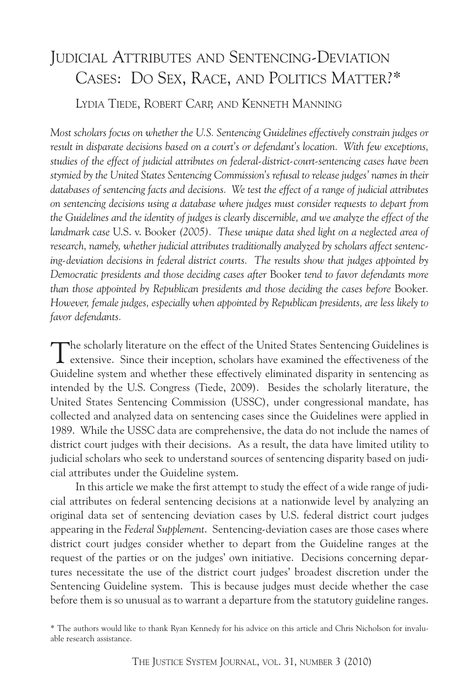# JUDICIAL ATTRIBUTES AND SENTENCING-DEVIATION CASES: DO SEX, RACE, AND POLITICS MATTER?\*

LYDIA TIEDE, ROBERT CARP, AND KENNETH MANNING

*Most scholars focus on whether the U.S. Sentencing Guidelines effectively constrain judges or result in disparate decisions based on a court's or defendant's location. With few exceptions, studies of the effect of judicial attributes on federal-district-court-sentencing cases have been stymied by the United States Sentencing Commission's refusal to release judges' names in their databases of sentencing facts and decisions. We test the effect of a range of judicial attributes on sentencing decisions using a database where judges must consider requests to depart from the Guidelines and the identity of judges is clearly discernible, and we analyze the effect of the landmark case* U.S. v. Booker *(2005). These unique data shed light on a neglected area of research, namely, whether judicial attributes traditionally analyzed by scholars affect sentencing-deviation decisions in federal district courts. The results show that judges appointed by Democratic presidents and those deciding cases after* Booker *tend to favor defendants more than those appointed by Republican presidents and those deciding the cases before* Booker*. However, female judges, especially when appointed by Republican presidents, are less likely to favor defendants.*

The scholarly literature on the effect of the United States Sentencing Guidelines is extensive. Since their inception, scholars have examined the effectiveness of the Guideline system and whether these effectively eliminated disparity in sentencing as intended by the U.S. Congress (Tiede, 2009). Besides the scholarly literature, the United States Sentencing Commission (USSC), under congressional mandate, has collected and analyzed data on sentencing cases since the Guidelines were applied in 1989. While the USSC data are comprehensive, the data do not include the names of district court judges with their decisions. As a result, the data have limited utility to judicial scholars who seek to understand sources of sentencing disparity based on judicial attributes under the Guideline system.

In this article we make the first attempt to study the effect of a wide range of judicial attributes on federal sentencing decisions at a nationwide level by analyzing an original data set of sentencing deviation cases by U.S. federal district court judges appearing in the *Federal Supplement*. Sentencing-deviation cases are those cases where district court judges consider whether to depart from the Guideline ranges at the request of the parties or on the judges' own initiative. Decisions concerning departures necessitate the use of the district court judges' broadest discretion under the Sentencing Guideline system. This is because judges must decide whether the case before them is so unusual as to warrant a departure from the statutory guideline ranges.

<sup>\*</sup> The authors would like to thank Ryan Kennedy for his advice on this article and Chris Nicholson for invaluable research assistance.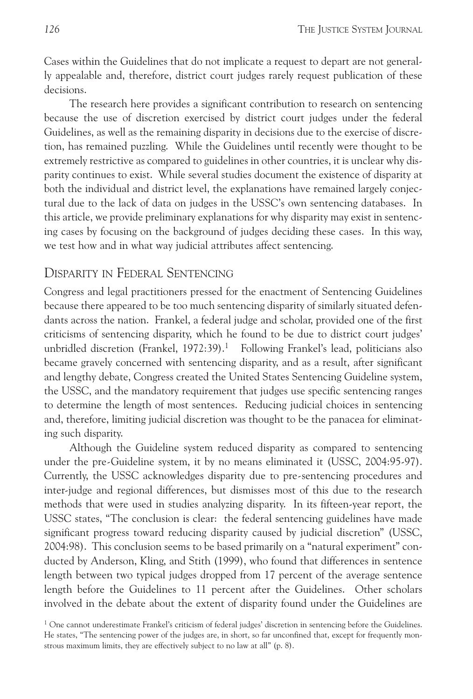Cases within the Guidelines that do not implicate a request to depart are not generally appealable and, therefore, district court judges rarely request publication of these decisions.

The research here provides a significant contribution to research on sentencing because the use of discretion exercised by district court judges under the federal Guidelines, as well as the remaining disparity in decisions due to the exercise of discretion, has remained puzzling. While the Guidelines until recently were thought to be extremely restrictive as compared to guidelines in other countries, it is unclear why disparity continues to exist. While several studies document the existence of disparity at both the individual and district level, the explanations have remained largely conjectural due to the lack of data on judges in the USSC's own sentencing databases. In this article, we provide preliminary explanations for why disparity may exist in sentencing cases by focusing on the background of judges deciding these cases. In this way, we test how and in what way judicial attributes affect sentencing.

#### DISPARITY IN FEDERAL SENTENCING

Congress and legal practitioners pressed for the enactment of Sentencing Guidelines because there appeared to be too much sentencing disparity of similarly situated defendants across the nation. Frankel, a federal judge and scholar, provided one of the first criticisms of sentencing disparity, which he found to be due to district court judges' unbridled discretion (Frankel, 1972:39). <sup>1</sup> Following Frankel's lead, politicians also became gravely concerned with sentencing disparity, and as a result, after significant and lengthy debate, Congress created the United States Sentencing Guideline system, the USSC, and the mandatory requirement that judges use specific sentencing ranges to determine the length of most sentences. Reducing judicial choices in sentencing and, therefore, limiting judicial discretion was thought to be the panacea for eliminating such disparity.

Although the Guideline system reduced disparity as compared to sentencing under the pre-Guideline system, it by no means eliminated it (USSC, 2004:95-97). Currently, the USSC acknowledges disparity due to pre-sentencing procedures and inter-judge and regional differences, but dismisses most of this due to the research methods that were used in studies analyzing disparity. In its fifteen-year report, the USSC states, "The conclusion is clear: the federal sentencing guidelines have made significant progress toward reducing disparity caused by judicial discretion" (USSC, 2004:98). This conclusion seems to be based primarily on a "natural experiment" conducted by Anderson, Kling, and Stith (1999), who found that differences in sentence length between two typical judges dropped from 17 percent of the average sentence length before the Guidelines to 11 percent after the Guidelines. Other scholars involved in the debate about the extent of disparity found under the Guidelines are

 $1$  One cannot underestimate Frankel's criticism of federal judges' discretion in sentencing before the Guidelines. He states, "The sentencing power of the judges are, in short, so far unconfined that, except for frequently monstrous maximum limits, they are effectively subject to no law at all" (p. 8).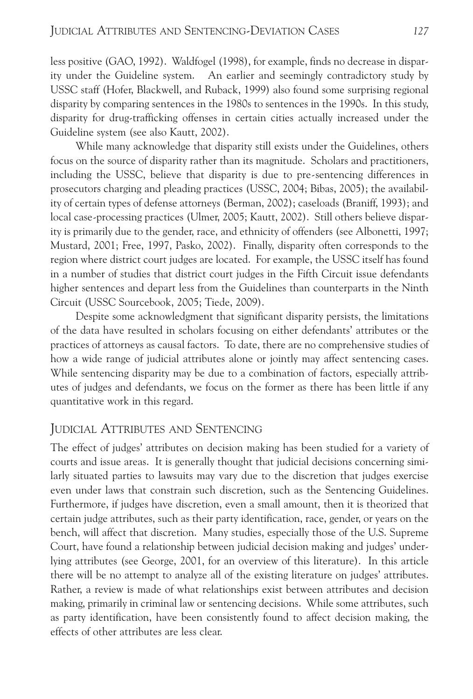less positive (GAO, 1992). Waldfogel (1998), for example, finds no decrease in disparity under the Guideline system. An earlier and seemingly contradictory study by USSC staff (Hofer, Blackwell, and Ruback, 1999) also found some surprising regional disparity by comparing sentences in the 1980s to sentences in the 1990s. In this study, disparity for drug-trafficking offenses in certain cities actually increased under the Guideline system (see also Kautt, 2002).

While many acknowledge that disparity still exists under the Guidelines, others focus on the source of disparity rather than its magnitude. Scholars and practitioners, including the USSC, believe that disparity is due to pre-sentencing differences in prosecutors charging and pleading practices (USSC, 2004; Bibas, 2005); the availability of certain types of defense attorneys (Berman, 2002); caseloads (Braniff, 1993); and local case-processing practices (Ulmer, 2005; Kautt, 2002). Still others believe disparity is primarily due to the gender, race, and ethnicity of offenders (see Albonetti, 1997; Mustard, 2001; Free, 1997, Pasko, 2002). Finally, disparity often corresponds to the region where district court judges are located. For example, the USSC itself has found in a number of studies that district court judges in the Fifth Circuit issue defendants higher sentences and depart less from the Guidelines than counterparts in the Ninth Circuit (USSC Sourcebook, 2005; Tiede, 2009).

Despite some acknowledgment that significant disparity persists, the limitations of the data have resulted in scholars focusing on either defendants' attributes or the practices of attorneys as causal factors. To date, there are no comprehensive studies of how a wide range of judicial attributes alone or jointly may affect sentencing cases. While sentencing disparity may be due to a combination of factors, especially attributes of judges and defendants, we focus on the former as there has been little if any quantitative work in this regard.

### JUDICIAL ATTRIBUTES AND SENTENCING

The effect of judges' attributes on decision making has been studied for a variety of courts and issue areas. It is generally thought that judicial decisions concerning similarly situated parties to lawsuits may vary due to the discretion that judges exercise even under laws that constrain such discretion, such as the Sentencing Guidelines. Furthermore, if judges have discretion, even a small amount, then it is theorized that certain judge attributes, such as their party identification, race, gender, or years on the bench, will affect that discretion. Many studies, especially those of the U.S. Supreme Court, have found a relationship between judicial decision making and judges' underlying attributes (see George, 2001, for an overview of this literature). In this article there will be no attempt to analyze all of the existing literature on judges' attributes. Rather, a review is made of what relationships exist between attributes and decision making, primarily in criminal law or sentencing decisions. While some attributes, such as party identification, have been consistently found to affect decision making, the effects of other attributes are less clear.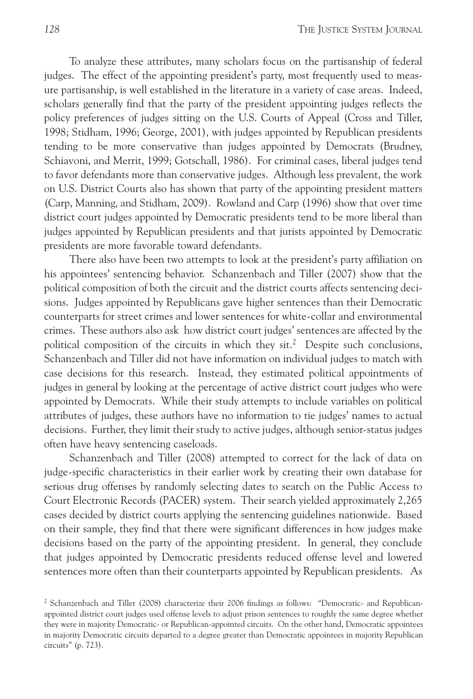To analyze these attributes, many scholars focus on the partisanship of federal judges. The effect of the appointing president's party, most frequently used to measure partisanship, is well established in the literature in a variety of case areas. Indeed, scholars generally find that the party of the president appointing judges reflects the policy preferences of judges sitting on the U.S. Courts of Appeal (Cross and Tiller, 1998; Stidham, 1996; George, 2001), with judges appointed by Republican presidents tending to be more conservative than judges appointed by Democrats (Brudney, Schiavoni, and Merrit, 1999; Gotschall, 1986). For criminal cases, liberal judges tend to favor defendants more than conservative judges. Although less prevalent, the work on U.S. District Courts also has shown that party of the appointing president matters (Carp, Manning, and Stidham, 2009). Rowland and Carp (1996) show that over time district court judges appointed by Democratic presidents tend to be more liberal than judges appointed by Republican presidents and that jurists appointed by Democratic presidents are more favorable toward defendants.

There also have been two attempts to look at the president's party affiliation on his appointees' sentencing behavior. Schanzenbach and Tiller (2007) show that the political composition of both the circuit and the district courts affects sentencing decisions. Judges appointed by Republicans gave higher sentences than their Democratic counterparts for street crimes and lower sentences for white-collar and environmental crimes. These authors also ask how district court judges' sentences are affected by the political composition of the circuits in which they  $\text{sit.}^2$  Despite such conclusions, Schanzenbach and Tiller did not have information on individual judges to match with case decisions for this research. Instead, they estimated political appointments of judges in general by looking at the percentage of active district court judges who were appointed by Democrats. While their study attempts to include variables on political attributes of judges, these authors have no information to tie judges' names to actual decisions. Further, they limit their study to active judges, although senior-status judges often have heavy sentencing caseloads.

Schanzenbach and Tiller (2008) attempted to correct for the lack of data on judge-specific characteristics in their earlier work by creating their own database for serious drug offenses by randomly selecting dates to search on the Public Access to Court Electronic Records (PACER) system. Their search yielded approximately 2,265 cases decided by district courts applying the sentencing guidelines nationwide. Based on their sample, they find that there were significant differences in how judges make decisions based on the party of the appointing president. In general, they conclude that judges appointed by Democratic presidents reduced offense level and lowered sentences more often than their counterparts appointed by Republican presidents. As

<sup>2</sup> Schanzenbach and Tiller (2008) characterize their 2006 findings as follows: "Democratic- and Republicanappointed district court judges used offense levels to adjust prison sentences to roughly the same degree whether they were in majority Democratic- or Republican-appointed circuits. On the other hand, Democratic appointees in majority Democratic circuits departed to a degree greater than Democratic appointees in majority Republican circuits" (p. 723).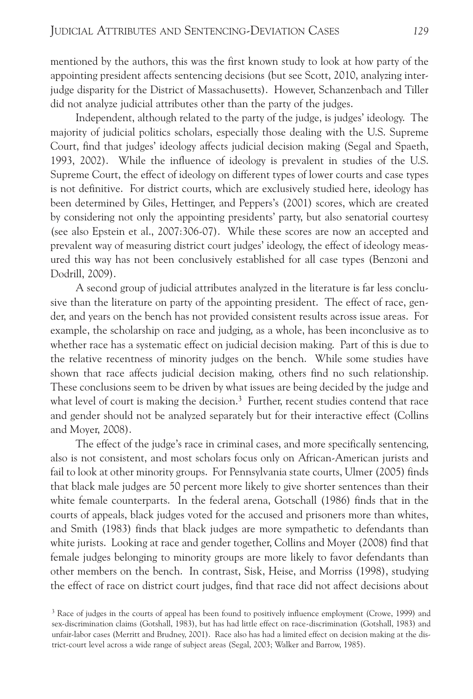mentioned by the authors, this was the first known study to look at how party of the appointing president affects sentencing decisions (but see Scott, 2010, analyzing interjudge disparity for the District of Massachusetts). However, Schanzenbach and Tiller did not analyze judicial attributes other than the party of the judges.

Independent, although related to the party of the judge, is judges' ideology. The majority of judicial politics scholars, especially those dealing with the U.S. Supreme Court, find that judges' ideology affects judicial decision making (Segal and Spaeth, 1993, 2002). While the influence of ideology is prevalent in studies of the U.S. Supreme Court, the effect of ideology on different types of lower courts and case types is not definitive. For district courts, which are exclusively studied here, ideology has been determined by Giles, Hettinger, and Peppers's (2001) scores, which are created by considering not only the appointing presidents' party, but also senatorial courtesy (see also Epstein et al., 2007:306-07). While these scores are now an accepted and prevalent way of measuring district court judges' ideology, the effect of ideology measured this way has not been conclusively established for all case types (Benzoni and Dodrill, 2009).

A second group of judicial attributes analyzed in the literature is far less conclusive than the literature on party of the appointing president. The effect of race, gender, and years on the bench has not provided consistent results across issue areas. For example, the scholarship on race and judging, as a whole, has been inconclusive as to whether race has a systematic effect on judicial decision making. Part of this is due to the relative recentness of minority judges on the bench. While some studies have shown that race affects judicial decision making, others find no such relationship. These conclusions seem to be driven by what issues are being decided by the judge and what level of court is making the decision.<sup>3</sup> Further, recent studies contend that race and gender should not be analyzed separately but for their interactive effect (Collins and Moyer, 2008).

The effect of the judge's race in criminal cases, and more specifically sentencing, also is not consistent, and most scholars focus only on African-American jurists and fail to look at other minority groups. For Pennsylvania state courts, Ulmer (2005) finds that black male judges are 50 percent more likely to give shorter sentences than their white female counterparts. In the federal arena, Gotschall (1986) finds that in the courts of appeals, black judges voted for the accused and prisoners more than whites, and Smith (1983) finds that black judges are more sympathetic to defendants than white jurists. Looking at race and gender together, Collins and Moyer (2008) find that female judges belonging to minority groups are more likely to favor defendants than other members on the bench. In contrast, Sisk, Heise, and Morriss (1998), studying the effect of race on district court judges, find that race did not affect decisions about

<sup>&</sup>lt;sup>3</sup> Race of judges in the courts of appeal has been found to positively influence employment (Crowe, 1999) and sex-discrimination claims (Gotshall, 1983), but has had little effect on race-discrimination (Gotshall, 1983) and unfair-labor cases (Merritt and Brudney, 2001). Race also has had a limited effect on decision making at the district-court level across a wide range of subject areas (Segal, 2003; Walker and Barrow, 1985).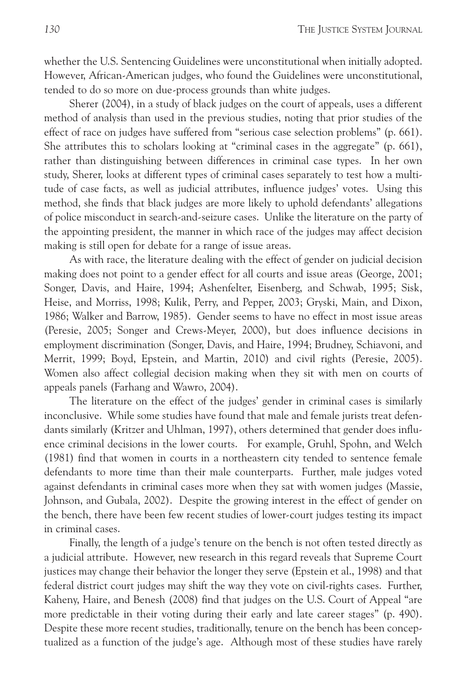whether the U.S. Sentencing Guidelines were unconstitutional when initially adopted. However, African-American judges, who found the Guidelines were unconstitutional, tended to do so more on due-process grounds than white judges.

Sherer (2004), in a study of black judges on the court of appeals, uses a different method of analysis than used in the previous studies, noting that prior studies of the effect of race on judges have suffered from "serious case selection problems" (p. 661). She attributes this to scholars looking at "criminal cases in the aggregate" (p. 661), rather than distinguishing between differences in criminal case types. In her own study, Sherer, looks at different types of criminal cases separately to test how a multitude of case facts, as well as judicial attributes, influence judges' votes. Using this method, she finds that black judges are more likely to uphold defendants' allegations of police misconduct in search-and-seizure cases. Unlike the literature on the party of the appointing president, the manner in which race of the judges may affect decision making is still open for debate for a range of issue areas.

As with race, the literature dealing with the effect of gender on judicial decision making does not point to a gender effect for all courts and issue areas (George, 2001; Songer, Davis, and Haire, 1994; Ashenfelter, Eisenberg, and Schwab, 1995; Sisk, Heise, and Morriss, 1998; Kulik, Perry, and Pepper, 2003; Gryski, Main, and Dixon, 1986; Walker and Barrow, 1985). Gender seems to have no effect in most issue areas (Peresie, 2005; Songer and Crews-Meyer, 2000), but does influence decisions in employment discrimination (Songer, Davis, and Haire, 1994; Brudney, Schiavoni, and Merrit, 1999; Boyd, Epstein, and Martin, 2010) and civil rights (Peresie, 2005). Women also affect collegial decision making when they sit with men on courts of appeals panels (Farhang and Wawro, 2004).

The literature on the effect of the judges' gender in criminal cases is similarly inconclusive. While some studies have found that male and female jurists treat defendants similarly (Kritzer and Uhlman, 1997), others determined that gender does influence criminal decisions in the lower courts. For example, Gruhl, Spohn, and Welch (1981) find that women in courts in a northeastern city tended to sentence female defendants to more time than their male counterparts. Further, male judges voted against defendants in criminal cases more when they sat with women judges (Massie, Johnson, and Gubala, 2002). Despite the growing interest in the effect of gender on the bench, there have been few recent studies of lower-court judges testing its impact in criminal cases.

Finally, the length of a judge's tenure on the bench is not often tested directly as a judicial attribute. However, new research in this regard reveals that Supreme Court justices may change their behavior the longer they serve (Epstein et al., 1998) and that federal district court judges may shift the way they vote on civil-rights cases. Further, Kaheny, Haire, and Benesh (2008) find that judges on the U.S. Court of Appeal "are more predictable in their voting during their early and late career stages" (p. 490). Despite these more recent studies, traditionally, tenure on the bench has been conceptualized as a function of the judge's age. Although most of these studies have rarely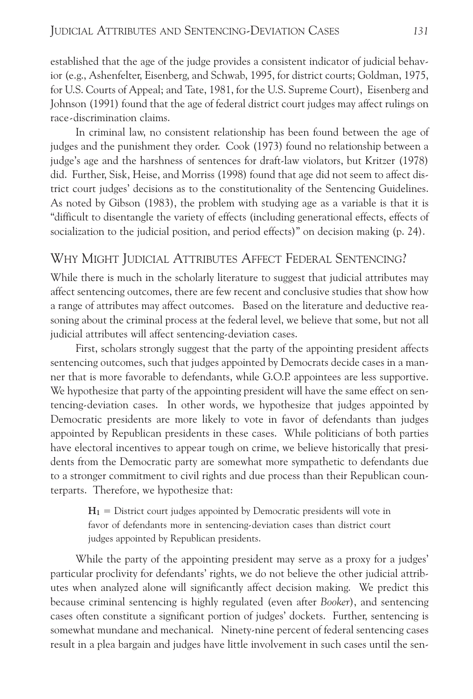established that the age of the judge provides a consistent indicator of judicial behavior (e.g., Ashenfelter, Eisenberg, and Schwab, 1995, for district courts; Goldman, 1975, for U.S. Courts of Appeal; and Tate, 1981, for the U.S. Supreme Court), Eisenberg and Johnson (1991) found that the age of federal district court judges may affect rulings on race-discrimination claims.

In criminal law, no consistent relationship has been found between the age of judges and the punishment they order. Cook (1973) found no relationship between a judge's age and the harshness of sentences for draft-law violators, but Kritzer (1978) did. Further, Sisk, Heise, and Morriss (1998) found that age did not seem to affect district court judges' decisions as to the constitutionality of the Sentencing Guidelines. As noted by Gibson (1983), the problem with studying age as a variable is that it is "difficult to disentangle the variety of effects (including generational effects, effects of socialization to the judicial position, and period effects)" on decision making (p. 24).

### WHY MIGHT JUDICIAL ATTRIBUTES AFFECT FEDERAL SENTENCING?

While there is much in the scholarly literature to suggest that judicial attributes may affect sentencing outcomes, there are few recent and conclusive studies that show how a range of attributes may affect outcomes. Based on the literature and deductive reasoning about the criminal process at the federal level, we believe that some, but not all judicial attributes will affect sentencing-deviation cases.

First, scholars strongly suggest that the party of the appointing president affects sentencing outcomes, such that judges appointed by Democrats decide cases in a manner that is more favorable to defendants, while G.O.P. appointees are less supportive. We hypothesize that party of the appointing president will have the same effect on sentencing-deviation cases. In other words, we hypothesize that judges appointed by Democratic presidents are more likely to vote in favor of defendants than judges appointed by Republican presidents in these cases. While politicians of both parties have electoral incentives to appear tough on crime, we believe historically that presidents from the Democratic party are somewhat more sympathetic to defendants due to a stronger commitment to civil rights and due process than their Republican counterparts. Therefore, we hypothesize that:

 $H_1$  = District court judges appointed by Democratic presidents will vote in favor of defendants more in sentencing-deviation cases than district court judges appointed by Republican presidents.

While the party of the appointing president may serve as a proxy for a judges' particular proclivity for defendants' rights, we do not believe the other judicial attributes when analyzed alone will significantly affect decision making. We predict this because criminal sentencing is highly regulated (even after *Booker*), and sentencing cases often constitute a significant portion of judges' dockets. Further, sentencing is somewhat mundane and mechanical. Ninety-nine percent of federal sentencing cases result in a plea bargain and judges have little involvement in such cases until the sen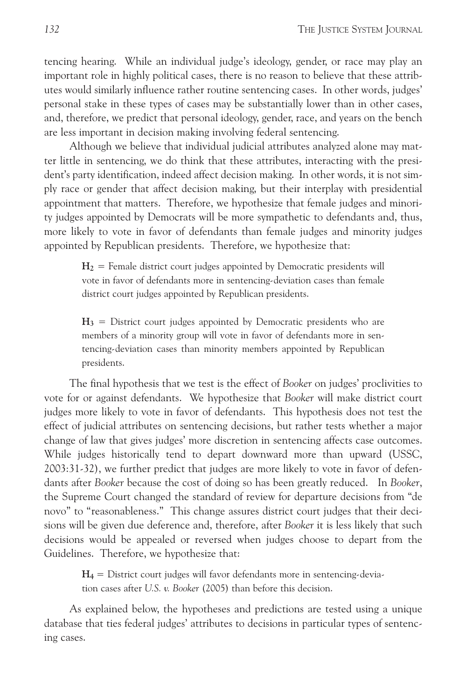tencing hearing. While an individual judge's ideology, gender, or race may play an important role in highly political cases, there is no reason to believe that these attributes would similarly influence rather routine sentencing cases. In other words, judges' personal stake in these types of cases may be substantially lower than in other cases, and, therefore, we predict that personal ideology, gender, race, and years on the bench are less important in decision making involving federal sentencing.

Although we believe that individual judicial attributes analyzed alone may matter little in sentencing, we do think that these attributes, interacting with the president's party identification, indeed affect decision making. In other words, it is not simply race or gender that affect decision making, but their interplay with presidential appointment that matters. Therefore, we hypothesize that female judges and minority judges appointed by Democrats will be more sympathetic to defendants and, thus, more likely to vote in favor of defendants than female judges and minority judges appointed by Republican presidents. Therefore, we hypothesize that:

 $H_2$  = Female district court judges appointed by Democratic presidents will vote in favor of defendants more in sentencing-deviation cases than female district court judges appointed by Republican presidents.

**H3** = District court judges appointed by Democratic presidents who are members of a minority group will vote in favor of defendants more in sentencing-deviation cases than minority members appointed by Republican presidents.

The final hypothesis that we test is the effect of *Booker* on judges' proclivities to vote for or against defendants. We hypothesize that *Booker* will make district court judges more likely to vote in favor of defendants. This hypothesis does not test the effect of judicial attributes on sentencing decisions, but rather tests whether a major change of law that gives judges' more discretion in sentencing affects case outcomes. While judges historically tend to depart downward more than upward (USSC, 2003:31-32), we further predict that judges are more likely to vote in favor of defendants after *Booker* because the cost of doing so has been greatly reduced. In *Booker*, the Supreme Court changed the standard of review for departure decisions from "de novo" to "reasonableness." This change assures district court judges that their decisions will be given due deference and, therefore, after *Booker* it is less likely that such decisions would be appealed or reversed when judges choose to depart from the Guidelines. Therefore, we hypothesize that:

**H4** = District court judges will favor defendants more in sentencing-deviation cases after *U.S. v. Booker* (2005) than before this decision.

As explained below, the hypotheses and predictions are tested using a unique database that ties federal judges' attributes to decisions in particular types of sentencing cases.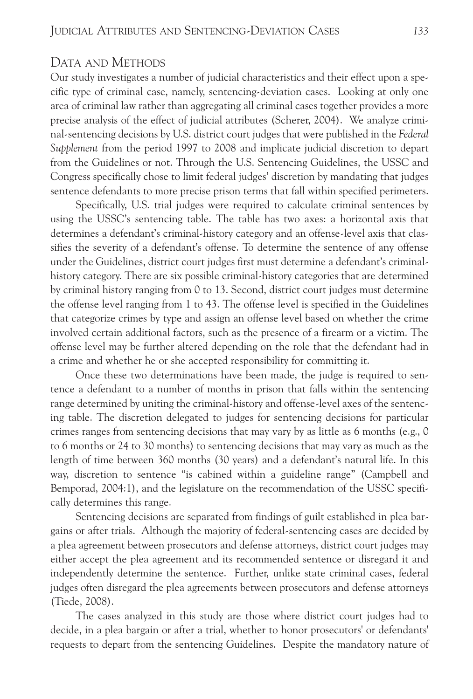#### DATA AND METHODS

Our study investigates a number of judicial characteristics and their effect upon a specific type of criminal case, namely, sentencing-deviation cases. Looking at only one area of criminal law rather than aggregating all criminal cases together provides a more precise analysis of the effect of judicial attributes (Scherer, 2004). We analyze criminal-sentencing decisions by U.S. district court judges that were published in the *Federal Supplement* from the period 1997 to 2008 and implicate judicial discretion to depart from the Guidelines or not. Through the U.S. Sentencing Guidelines, the USSC and Congress specifically chose to limit federal judges' discretion by mandating that judges sentence defendants to more precise prison terms that fall within specified perimeters.

Specifically, U.S. trial judges were required to calculate criminal sentences by using the USSC's sentencing table. The table has two axes: a horizontal axis that determines a defendant's criminal-history category and an offense-level axis that classifies the severity of a defendant's offense. To determine the sentence of any offense under the Guidelines, district court judges first must determine a defendant's criminalhistory category. There are six possible criminal-history categories that are determined by criminal history ranging from 0 to 13. Second, district court judges must determine the offense level ranging from 1 to 43. The offense level is specified in the Guidelines that categorize crimes by type and assign an offense level based on whether the crime involved certain additional factors, such as the presence of a firearm or a victim. The offense level may be further altered depending on the role that the defendant had in a crime and whether he or she accepted responsibility for committing it.

Once these two determinations have been made, the judge is required to sentence a defendant to a number of months in prison that falls within the sentencing range determined by uniting the criminal-history and offense-level axes of the sentencing table. The discretion delegated to judges for sentencing decisions for particular crimes ranges from sentencing decisions that may vary by as little as 6 months (e.g., 0 to 6 months or 24 to 30 months) to sentencing decisions that may vary as much as the length of time between 360 months (30 years) and a defendant's natural life. In this way, discretion to sentence "is cabined within a guideline range" (Campbell and Bemporad, 2004:1), and the legislature on the recommendation of the USSC specifically determines this range.

Sentencing decisions are separated from findings of guilt established in plea bargains or after trials. Although the majority of federal-sentencing cases are decided by a plea agreement between prosecutors and defense attorneys, district court judges may either accept the plea agreement and its recommended sentence or disregard it and independently determine the sentence. Further, unlike state criminal cases, federal judges often disregard the plea agreements between prosecutors and defense attorneys (Tiede, 2008).

The cases analyzed in this study are those where district court judges had to decide, in a plea bargain or after a trial, whether to honor prosecutors' or defendants' requests to depart from the sentencing Guidelines. Despite the mandatory nature of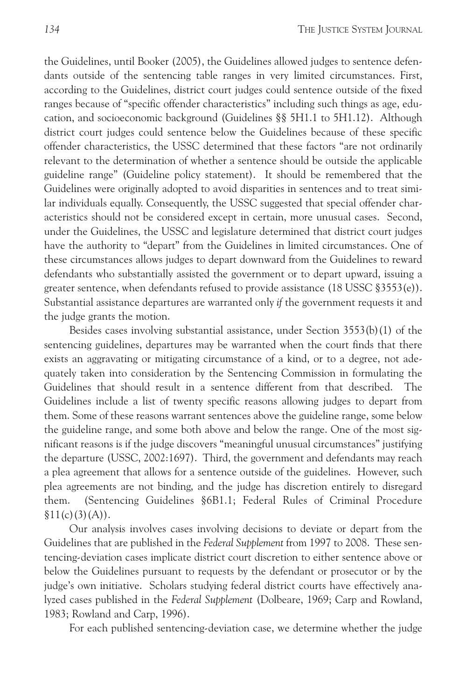the Guidelines, until Booker (2005), the Guidelines allowed judges to sentence defendants outside of the sentencing table ranges in very limited circumstances. First, according to the Guidelines, district court judges could sentence outside of the fixed ranges because of "specific offender characteristics" including such things as age, education, and socioeconomic background (Guidelines §§ 5H1.1 to 5H1.12). Although district court judges could sentence below the Guidelines because of these specific offender characteristics, the USSC determined that these factors "are not ordinarily relevant to the determination of whether a sentence should be outside the applicable guideline range" (Guideline policy statement). It should be remembered that the Guidelines were originally adopted to avoid disparities in sentences and to treat similar individuals equally. Consequently, the USSC suggested that special offender characteristics should not be considered except in certain, more unusual cases. Second, under the Guidelines, the USSC and legislature determined that district court judges have the authority to "depart" from the Guidelines in limited circumstances. One of these circumstances allows judges to depart downward from the Guidelines to reward defendants who substantially assisted the government or to depart upward, issuing a greater sentence, when defendants refused to provide assistance (18 USSC §3553(e)). Substantial assistance departures are warranted only *if* the government requests it and the judge grants the motion.

Besides cases involving substantial assistance, under Section 3553(b)(1) of the sentencing guidelines, departures may be warranted when the court finds that there exists an aggravating or mitigating circumstance of a kind, or to a degree, not adequately taken into consideration by the Sentencing Commission in formulating the Guidelines that should result in a sentence different from that described. The Guidelines include a list of twenty specific reasons allowing judges to depart from them. Some of these reasons warrant sentences above the guideline range, some below the guideline range, and some both above and below the range. One of the most significant reasons is if the judge discovers "meaningful unusual circumstances" justifying the departure (USSC, 2002:1697). Third, the government and defendants may reach a plea agreement that allows for a sentence outside of the guidelines. However, such plea agreements are not binding, and the judge has discretion entirely to disregard them. (Sentencing Guidelines §6B1.1; Federal Rules of Criminal Procedure  $$11(c)(3)(A)).$ 

Our analysis involves cases involving decisions to deviate or depart from the Guidelines that are published in the *Federal Supplement* from 1997 to 2008. These sentencing-deviation cases implicate district court discretion to either sentence above or below the Guidelines pursuant to requests by the defendant or prosecutor or by the judge's own initiative. Scholars studying federal district courts have effectively analyzed cases published in the *Federal Supplement* (Dolbeare, 1969; Carp and Rowland, 1983; Rowland and Carp, 1996).

For each published sentencing-deviation case, we determine whether the judge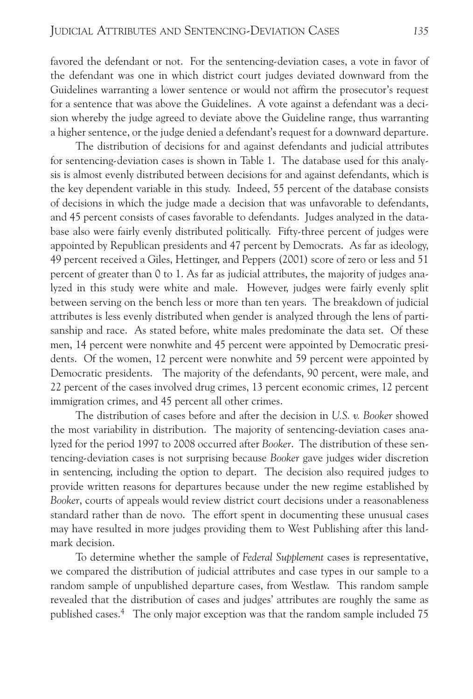favored the defendant or not. For the sentencing-deviation cases, a vote in favor of the defendant was one in which district court judges deviated downward from the Guidelines warranting a lower sentence or would not affirm the prosecutor's request for a sentence that was above the Guidelines. A vote against a defendant was a decision whereby the judge agreed to deviate above the Guideline range, thus warranting a higher sentence, or the judge denied a defendant's request for a downward departure.

The distribution of decisions for and against defendants and judicial attributes for sentencing-deviation cases is shown in Table 1. The database used for this analysis is almost evenly distributed between decisions for and against defendants, which is the key dependent variable in this study. Indeed, 55 percent of the database consists of decisions in which the judge made a decision that was unfavorable to defendants, and 45 percent consists of cases favorable to defendants. Judges analyzed in the database also were fairly evenly distributed politically. Fifty-three percent of judges were appointed by Republican presidents and 47 percent by Democrats. As far as ideology, 49 percent received a Giles, Hettinger, and Peppers (2001) score of zero or less and 51 percent of greater than 0 to 1. As far as judicial attributes, the majority of judges analyzed in this study were white and male. However, judges were fairly evenly split between serving on the bench less or more than ten years. The breakdown of judicial attributes is less evenly distributed when gender is analyzed through the lens of partisanship and race. As stated before, white males predominate the data set. Of these men, 14 percent were nonwhite and 45 percent were appointed by Democratic presidents. Of the women, 12 percent were nonwhite and 59 percent were appointed by Democratic presidents. The majority of the defendants, 90 percent, were male, and 22 percent of the cases involved drug crimes, 13 percent economic crimes, 12 percent immigration crimes, and 45 percent all other crimes.

The distribution of cases before and after the decision in *U.S. v. Booker* showed the most variability in distribution. The majority of sentencing-deviation cases analyzed for the period 1997 to 2008 occurred after *Booker*. The distribution of these sentencing-deviation cases is not surprising because *Booker* gave judges wider discretion in sentencing, including the option to depart. The decision also required judges to provide written reasons for departures because under the new regime established by *Booker*, courts of appeals would review district court decisions under a reasonableness standard rather than de novo. The effort spent in documenting these unusual cases may have resulted in more judges providing them to West Publishing after this landmark decision.

To determine whether the sample of *Federal Supplement* cases is representative, we compared the distribution of judicial attributes and case types in our sample to a random sample of unpublished departure cases, from Westlaw. This random sample revealed that the distribution of cases and judges' attributes are roughly the same as published cases. <sup>4</sup> The only major exception was that the random sample included 75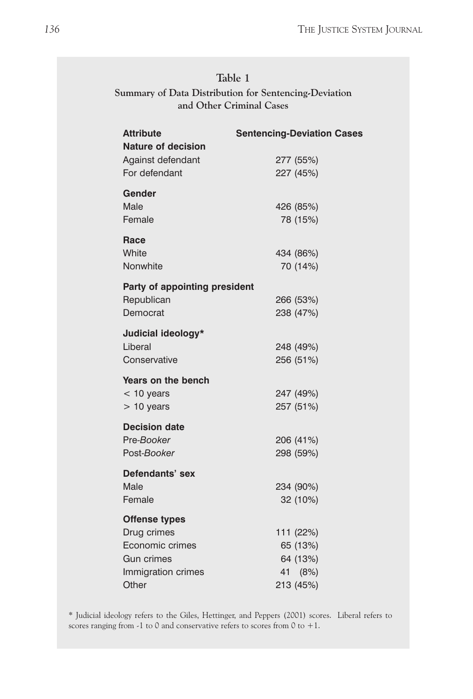| Table 1                                               |
|-------------------------------------------------------|
| Summary of Data Distribution for Sentencing-Deviation |
| and Other Criminal Cases                              |

| <b>Attribute</b>                               | <b>Sentencing-Deviation Cases</b> |
|------------------------------------------------|-----------------------------------|
| <b>Nature of decision</b><br>Against defendant | 277 (55%)                         |
| For defendant                                  | 227 (45%)                         |
|                                                |                                   |
| Gender                                         |                                   |
| Male<br>Female                                 | 426 (85%)<br>78 (15%)             |
|                                                |                                   |
| Race                                           |                                   |
| White                                          | 434 (86%)                         |
| Nonwhite                                       | 70 (14%)                          |
| Party of appointing president                  |                                   |
| Republican                                     | 266 (53%)                         |
| Democrat                                       | 238 (47%)                         |
| Judicial ideology*                             |                                   |
| Liberal                                        | 248 (49%)                         |
| Conservative                                   | 256 (51%)                         |
| Years on the bench                             |                                   |
| $<$ 10 years                                   | 247 (49%)                         |
| $> 10$ years                                   | 257 (51%)                         |
| <b>Decision date</b>                           |                                   |
| Pre-Booker                                     | 206 (41%)                         |
| Post-Booker                                    | 298 (59%)                         |
|                                                |                                   |
| Defendants' sex                                |                                   |
| Male<br>Female                                 | 234 (90%)                         |
|                                                | 32 (10%)                          |
| <b>Offense types</b>                           |                                   |
| Drug crimes                                    | 111 (22%)                         |
| Economic crimes                                | 65 (13%)                          |
| Gun crimes                                     | 64 (13%)                          |
| Immigration crimes<br>Other                    | 41 (8%)<br>213 (45%)              |
|                                                |                                   |

\* Judicial ideology refers to the Giles, Hettinger, and Peppers (2001) scores. Liberal refers to scores ranging from -1 to 0 and conservative refers to scores from 0 to +1.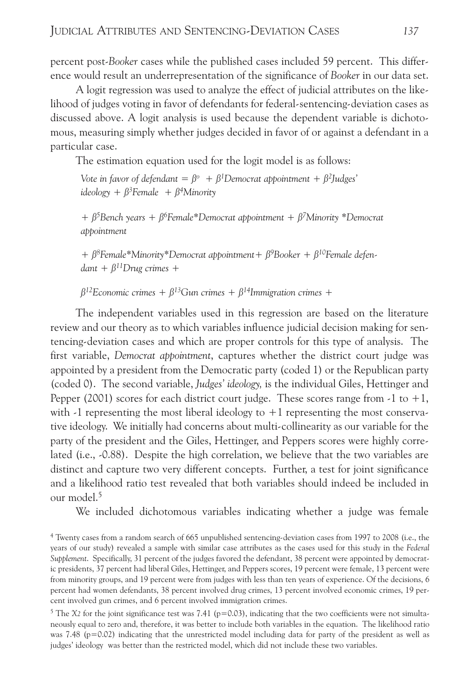percent post-*Booker* cases while the published cases included 59 percent. This difference would result an underrepresentation of the significance of *Booker* in our data set.

A logit regression was used to analyze the effect of judicial attributes on the likelihood of judges voting in favor of defendants for federal-sentencing-deviation cases as discussed above. A logit analysis is used because the dependent variable is dichotomous, measuring simply whether judges decided in favor of or against a defendant in a particular case.

The estimation equation used for the logit model is as follows:

*Vote in favor of defendant* =  $\beta^{\circ}$  +  $\beta^{\prime}$ Democrat *appointment* +  $\beta^{\prime}$ Judges' *ideology* +  $\beta^3$  *Female* +  $\beta^4$ *Minority* 

*+ ß5Bench years + ß6Female\*Democrat appointment + ß7Minority \*Democrat appointment*

*+ ß8Female\*Minority\*Democrat appointment+ ß9Booker + ß10Female defen* $d$ *dant* +  $\beta$ <sup>11</sup>Drug crimes +

 $\beta^{12}$ Economic crimes +  $\beta^{13}$ Gun crimes +  $\beta^{14}$ Immigration crimes +

The independent variables used in this regression are based on the literature review and our theory as to which variables influence judicial decision making for sentencing-deviation cases and which are proper controls for this type of analysis. The first variable, *Democrat appointment*, captures whether the district court judge was appointed by a president from the Democratic party (coded 1) or the Republican party (coded 0). The second variable, *Judges' ideology,* is the individual Giles, Hettinger and Pepper (2001) scores for each district court judge. These scores range from  $-1$  to  $+1$ , with  $-1$  representing the most liberal ideology to  $+1$  representing the most conservative ideology. We initially had concerns about multi-collinearity as our variable for the party of the president and the Giles, Hettinger, and Peppers scores were highly correlated (i.e., -0.88). Despite the high correlation, we believe that the two variables are distinct and capture two very different concepts. Further, a test for joint significance and a likelihood ratio test revealed that both variables should indeed be included in our model. 5

We included dichotomous variables indicating whether a judge was female

<sup>4</sup> Twenty cases from a random search of 665 unpublished sentencing-deviation cases from 1997 to 2008 (i.e., the years of our study) revealed a sample with similar case attributes as the cases used for this study in the *Federal Supplement*. Specifically, 31 percent of the judges favored the defendant, 38 percent were appointed by democratic presidents, 37 percent had liberal Giles, Hettinger, and Peppers scores, 19 percent were female, 13 percent were from minority groups, and 19 percent were from judges with less than ten years of experience. Of the decisions, 6 percent had women defendants, 38 percent involved drug crimes, 13 percent involved economic crimes, 19 percent involved gun crimes, and 6 percent involved immigration crimes.

<sup>5</sup> The  $X2$  for the joint significance test was 7.41 ( $p=0.03$ ), indicating that the two coefficients were not simultaneously equal to zero and, therefore, it was better to include both variables in the equation. The likelihood ratio was 7.48 (p=0.02) indicating that the unrestricted model including data for party of the president as well as judges' ideology was better than the restricted model, which did not include these two variables.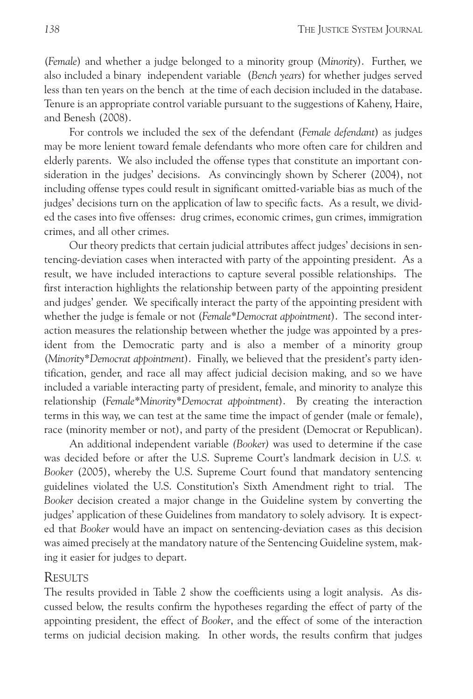(*Female*) and whether a judge belonged to a minority group (*Minority*). Further, we also included a binary independent variable (*Bench years*) for whether judges served less than ten years on the bench at the time of each decision included in the database. Tenure is an appropriate control variable pursuant to the suggestions of Kaheny, Haire, and Benesh (2008).

For controls we included the sex of the defendant (*Female defendant*) as judges may be more lenient toward female defendants who more often care for children and elderly parents. We also included the offense types that constitute an important consideration in the judges' decisions. As convincingly shown by Scherer (2004), not including offense types could result in significant omitted-variable bias as much of the judges' decisions turn on the application of law to specific facts. As a result, we divided the cases into five offenses: drug crimes, economic crimes, gun crimes, immigration crimes, and all other crimes.

Our theory predicts that certain judicial attributes affect judges' decisions in sentencing-deviation cases when interacted with party of the appointing president. As a result, we have included interactions to capture several possible relationships. The first interaction highlights the relationship between party of the appointing president and judges' gender. We specifically interact the party of the appointing president with whether the judge is female or not (*Female\*Democrat appointment*). The second interaction measures the relationship between whether the judge was appointed by a president from the Democratic party and is also a member of a minority group (*Minority\*Democrat appointment*). Finally, we believed that the president's party identification, gender, and race all may affect judicial decision making, and so we have included a variable interacting party of president, female, and minority to analyze this relationship (*Female\*Minority\*Democrat appointment*). By creating the interaction terms in this way, we can test at the same time the impact of gender (male or female), race (minority member or not), and party of the president (Democrat or Republican).

An additional independent variable *(Booker)* was used to determine if the case was decided before or after the U.S. Supreme Court's landmark decision in *U.S. v. Booker* (2005), whereby the U.S. Supreme Court found that mandatory sentencing guidelines violated the U.S. Constitution's Sixth Amendment right to trial. The *Booker* decision created a major change in the Guideline system by converting the judges' application of these Guidelines from mandatory to solely advisory. It is expected that *Booker* would have an impact on sentencing-deviation cases as this decision was aimed precisely at the mandatory nature of the Sentencing Guideline system, making it easier for judges to depart.

#### **RESULTS**

The results provided in Table 2 show the coefficients using a logit analysis. As discussed below, the results confirm the hypotheses regarding the effect of party of the appointing president, the effect of *Booker*, and the effect of some of the interaction terms on judicial decision making. In other words, the results confirm that judges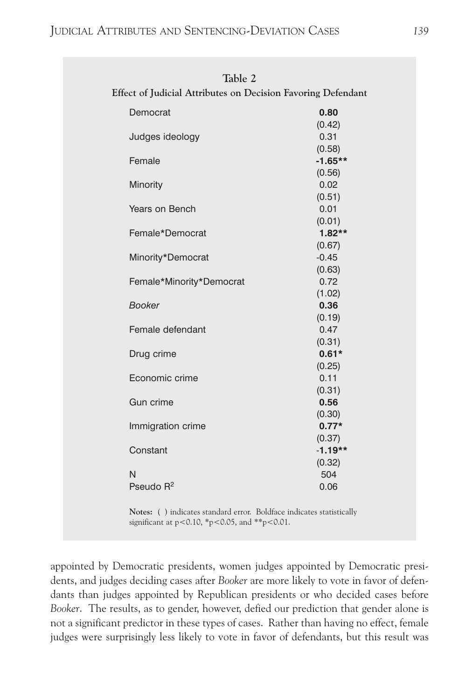| Table 2<br>Effect of Judicial Attributes on Decision Favoring Defendant |           |
|-------------------------------------------------------------------------|-----------|
|                                                                         |           |
| Democrat                                                                | 0.80      |
|                                                                         | (0.42)    |
| Judges ideology                                                         | 0.31      |
|                                                                         | (0.58)    |
| Female                                                                  | $-1.65**$ |
|                                                                         | (0.56)    |
| Minority                                                                | 0.02      |
|                                                                         | (0.51)    |
| Years on Bench                                                          | 0.01      |
|                                                                         | (0.01)    |
| Female*Democrat                                                         | $1.82**$  |
|                                                                         | (0.67)    |
| Minority*Democrat                                                       | $-0.45$   |
|                                                                         | (0.63)    |
| Female*Minority*Democrat                                                | 0.72      |
|                                                                         | (1.02)    |
| <b>Booker</b>                                                           | 0.36      |
|                                                                         | (0.19)    |
| Female defendant                                                        | 0.47      |
|                                                                         | (0.31)    |
| Drug crime                                                              | $0.61*$   |
|                                                                         | (0.25)    |
| Economic crime                                                          | 0.11      |
|                                                                         | (0.31)    |
| Gun crime                                                               | 0.56      |
|                                                                         | (0.30)    |
| Immigration crime                                                       | $0.77*$   |
|                                                                         | (0.37)    |
| Constant                                                                | $-1.19**$ |
|                                                                         | (0.32)    |
| N                                                                       | 504       |
| Pseudo R <sup>2</sup>                                                   | 0.06      |

**Notes:** ( ) indicates standard error. Boldface indicates statistically significant at  $p < 0.10$ , \*p $< 0.05$ , and \*\*p $< 0.01$ .

appointed by Democratic presidents, women judges appointed by Democratic presidents, and judges deciding cases after *Booker* are more likely to vote in favor of defendants than judges appointed by Republican presidents or who decided cases before *Booker*. The results, as to gender, however, defied our prediction that gender alone is not a significant predictor in these types of cases. Rather than having no effect, female judges were surprisingly less likely to vote in favor of defendants, but this result was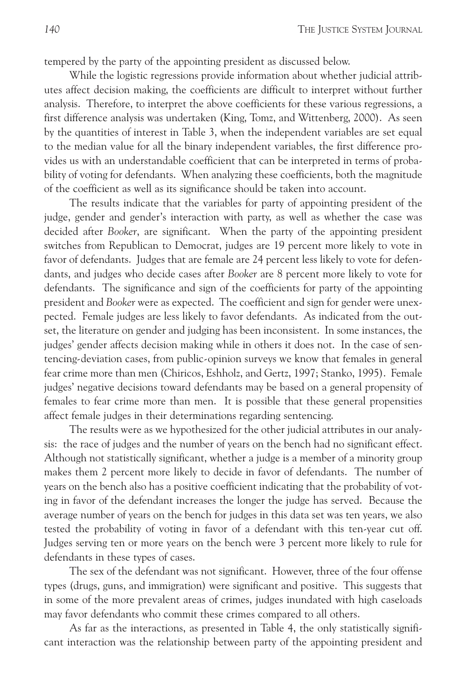tempered by the party of the appointing president as discussed below.

While the logistic regressions provide information about whether judicial attributes affect decision making, the coefficients are difficult to interpret without further analysis. Therefore, to interpret the above coefficients for these various regressions, a first difference analysis was undertaken (King, Tomz, and Wittenberg, 2000). As seen by the quantities of interest in Table 3, when the independent variables are set equal to the median value for all the binary independent variables, the first difference provides us with an understandable coefficient that can be interpreted in terms of probability of voting for defendants. When analyzing these coefficients, both the magnitude of the coefficient as well as its significance should be taken into account.

The results indicate that the variables for party of appointing president of the judge, gender and gender's interaction with party, as well as whether the case was decided after *Booker*, are significant. When the party of the appointing president switches from Republican to Democrat, judges are 19 percent more likely to vote in favor of defendants. Judges that are female are 24 percent less likely to vote for defendants, and judges who decide cases after *Booker* are 8 percent more likely to vote for defendants. The significance and sign of the coefficients for party of the appointing president and *Booker* were as expected. The coefficient and sign for gender were unexpected. Female judges are less likely to favor defendants. As indicated from the outset, the literature on gender and judging has been inconsistent. In some instances, the judges' gender affects decision making while in others it does not. In the case of sentencing-deviation cases, from public-opinion surveys we know that females in general fear crime more than men (Chiricos, Eshholz, and Gertz, 1997; Stanko, 1995). Female judges' negative decisions toward defendants may be based on a general propensity of females to fear crime more than men. It is possible that these general propensities affect female judges in their determinations regarding sentencing.

The results were as we hypothesized for the other judicial attributes in our analysis: the race of judges and the number of years on the bench had no significant effect. Although not statistically significant, whether a judge is a member of a minority group makes them 2 percent more likely to decide in favor of defendants. The number of years on the bench also has a positive coefficient indicating that the probability of voting in favor of the defendant increases the longer the judge has served. Because the average number of years on the bench for judges in this data set was ten years, we also tested the probability of voting in favor of a defendant with this ten-year cut off. Judges serving ten or more years on the bench were 3 percent more likely to rule for defendants in these types of cases.

The sex of the defendant was not significant. However, three of the four offense types (drugs, guns, and immigration) were significant and positive. This suggests that in some of the more prevalent areas of crimes, judges inundated with high caseloads may favor defendants who commit these crimes compared to all others.

As far as the interactions, as presented in Table 4, the only statistically significant interaction was the relationship between party of the appointing president and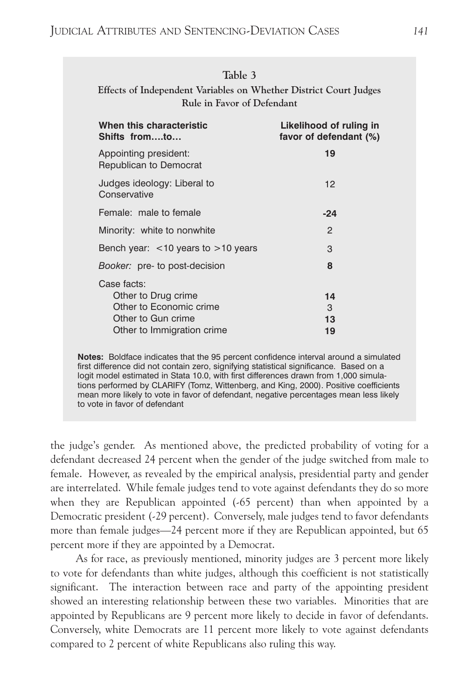| Table 3<br>Effects of Independent Variables on Whether District Court Judges<br>Rule in Favor of Defendant        |                                                   |  |  |
|-------------------------------------------------------------------------------------------------------------------|---------------------------------------------------|--|--|
| When this characteristic<br>Shifts fromto                                                                         | Likelihood of ruling in<br>favor of defendant (%) |  |  |
| Appointing president:<br>Republican to Democrat                                                                   | 19                                                |  |  |
| Judges ideology: Liberal to<br>Conservative                                                                       | 12                                                |  |  |
| Female: male to female                                                                                            | $-24$                                             |  |  |
| Minority: white to nonwhite                                                                                       | $\mathcal{P}$                                     |  |  |
| Bench year: $<$ 10 years to $>$ 10 years                                                                          | 3                                                 |  |  |
| <i>Booker:</i> pre- to post-decision                                                                              | 8                                                 |  |  |
| Case facts:<br>Other to Drug crime<br>Other to Economic crime<br>Other to Gun crime<br>Other to Immigration crime | 14<br>3<br>13<br>19                               |  |  |

**Notes:** Boldface indicates that the 95 percent confidence interval around a simulated first difference did not contain zero, signifying statistical significance. Based on a logit model estimated in Stata 10.0, with first differences drawn from 1,000 simulations performed by CLARIFY (Tomz, Wittenberg, and King, 2000). Positive coefficients mean more likely to vote in favor of defendant, negative percentages mean less likely to vote in favor of defendant

the judge's gender. As mentioned above, the predicted probability of voting for a defendant decreased 24 percent when the gender of the judge switched from male to female. However, as revealed by the empirical analysis, presidential party and gender are interrelated. While female judges tend to vote against defendants they do so more when they are Republican appointed (-65 percent) than when appointed by a Democratic president (-29 percent). Conversely, male judges tend to favor defendants more than female judges—24 percent more if they are Republican appointed, but 65 percent more if they are appointed by a Democrat.

As for race, as previously mentioned, minority judges are 3 percent more likely to vote for defendants than white judges, although this coefficient is not statistically significant. The interaction between race and party of the appointing president showed an interesting relationship between these two variables. Minorities that are appointed by Republicans are 9 percent more likely to decide in favor of defendants. Conversely, white Democrats are 11 percent more likely to vote against defendants compared to 2 percent of white Republicans also ruling this way.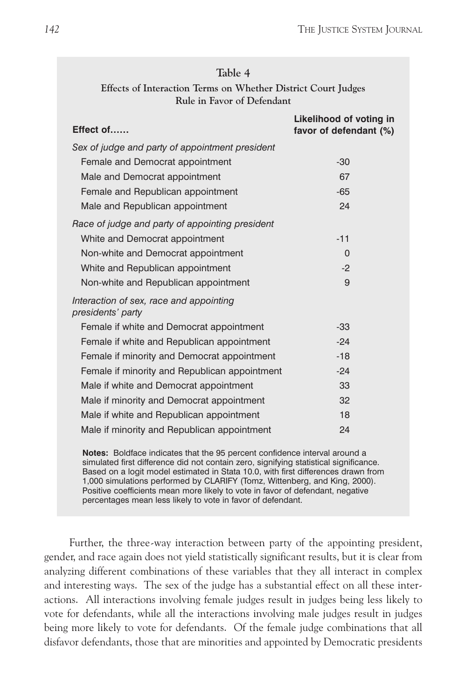| Table 4                                                       |  |  |  |
|---------------------------------------------------------------|--|--|--|
| Effects of Interaction Terms on Whether District Court Judges |  |  |  |
| Rule in Favor of Defendant                                    |  |  |  |

| Effect of                                                    | Likelihood of voting in<br>favor of defendant (%) |
|--------------------------------------------------------------|---------------------------------------------------|
| Sex of judge and party of appointment president              |                                                   |
| Female and Democrat appointment                              | $-30$                                             |
| Male and Democrat appointment                                | 67                                                |
| Female and Republican appointment                            | $-65$                                             |
| Male and Republican appointment                              | 24                                                |
| Race of judge and party of appointing president              |                                                   |
| White and Democrat appointment                               | $-11$                                             |
| Non-white and Democrat appointment                           | $\Omega$                                          |
| White and Republican appointment                             | $-2$                                              |
| Non-white and Republican appointment                         | 9                                                 |
| Interaction of sex, race and appointing<br>presidents' party |                                                   |
| Female if white and Democrat appointment                     | $-33$                                             |
| Female if white and Republican appointment                   | $-24$                                             |
| Female if minority and Democrat appointment                  | $-18$                                             |
| Female if minority and Republican appointment                | $-24$                                             |
| Male if white and Democrat appointment                       | 33                                                |
| Male if minority and Democrat appointment                    | 32                                                |
| Male if white and Republican appointment                     | 18                                                |
| Male if minority and Republican appointment                  | 24                                                |
|                                                              |                                                   |

**Notes:** Boldface indicates that the 95 percent confidence interval around a simulated first difference did not contain zero, signifying statistical significance. Based on a logit model estimated in Stata 10.0, with first differences drawn from 1,000 simulations performed by CLARIFY (Tomz, Wittenberg, and King, 2000). Positive coefficients mean more likely to vote in favor of defendant, negative percentages mean less likely to vote in favor of defendant.

Further, the three-way interaction between party of the appointing president, gender, and race again does not yield statistically significant results, but it is clear from analyzing different combinations of these variables that they all interact in complex and interesting ways. The sex of the judge has a substantial effect on all these interactions. All interactions involving female judges result in judges being less likely to vote for defendants, while all the interactions involving male judges result in judges being more likely to vote for defendants. Of the female judge combinations that all disfavor defendants, those that are minorities and appointed by Democratic presidents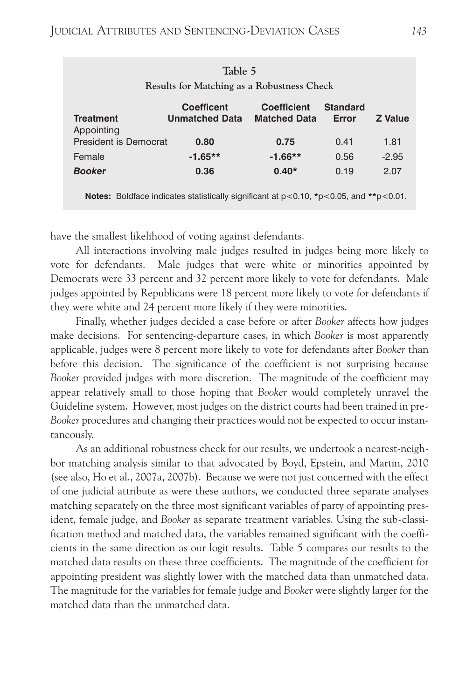| Table 5<br>Results for Matching as a Robustness Check |                                            |                                           |                          |                |  |  |  |
|-------------------------------------------------------|--------------------------------------------|-------------------------------------------|--------------------------|----------------|--|--|--|
| <b>Treatment</b><br>Appointing                        | <b>Coefficent</b><br><b>Unmatched Data</b> | <b>Coefficient</b><br><b>Matched Data</b> | <b>Standard</b><br>Error | <b>Z</b> Value |  |  |  |
| <b>President is Democrat</b>                          | 0.80                                       | 0.75                                      | 0.41                     | 1.81           |  |  |  |
| Female                                                | $-1.65**$                                  | $-1.66**$                                 | 0.56                     | $-2.95$        |  |  |  |
| <b>Booker</b>                                         | 0.36                                       | $0.40*$                                   | 0.19                     | 2.07           |  |  |  |

**Notes:** Boldface indicates statistically significant at p<0.10, **\***p<0.05, and **\*\***p<0.01.

have the smallest likelihood of voting against defendants.

All interactions involving male judges resulted in judges being more likely to vote for defendants. Male judges that were white or minorities appointed by Democrats were 33 percent and 32 percent more likely to vote for defendants. Male judges appointed by Republicans were 18 percent more likely to vote for defendants if they were white and 24 percent more likely if they were minorities.

Finally, whether judges decided a case before or after *Booker* affects how judges make decisions. For sentencing-departure cases, in which *Booker* is most apparently applicable, judges were 8 percent more likely to vote for defendants after *Booker* than before this decision. The significance of the coefficient is not surprising because *Booker* provided judges with more discretion. The magnitude of the coefficient may appear relatively small to those hoping that *Booker* would completely unravel the Guideline system. However, most judges on the district courts had been trained in pre-*Booker* procedures and changing their practices would not be expected to occur instantaneously.

As an additional robustness check for our results, we undertook a nearest-neighbor matching analysis similar to that advocated by Boyd, Epstein, and Martin, 2010 (see also, Ho et al., 2007a, 2007b). Because we were not just concerned with the effect of one judicial attribute as were these authors, we conducted three separate analyses matching separately on the three most significant variables of party of appointing president, female judge, and *Booker* as separate treatment variables. Using the sub-classification method and matched data, the variables remained significant with the coefficients in the same direction as our logit results. Table 5 compares our results to the matched data results on these three coefficients. The magnitude of the coefficient for appointing president was slightly lower with the matched data than unmatched data. The magnitude for the variables for female judge and *Booker* were slightly larger for the matched data than the unmatched data.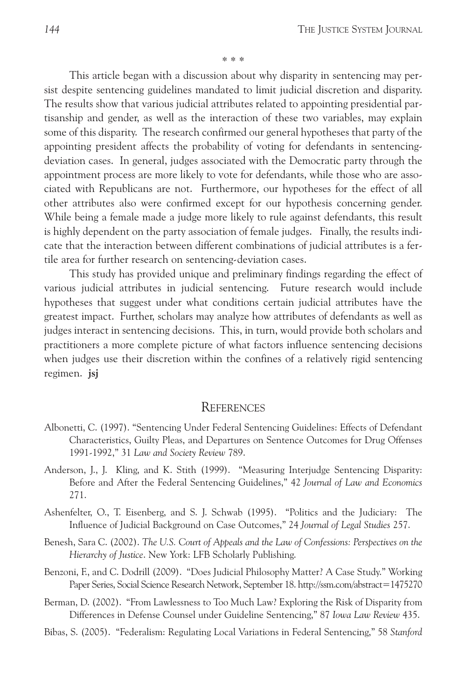\* \* \*

This article began with a discussion about why disparity in sentencing may persist despite sentencing guidelines mandated to limit judicial discretion and disparity. The results show that various judicial attributes related to appointing presidential partisanship and gender, as well as the interaction of these two variables, may explain some of this disparity. The research confirmed our general hypotheses that party of the appointing president affects the probability of voting for defendants in sentencingdeviation cases. In general, judges associated with the Democratic party through the appointment process are more likely to vote for defendants, while those who are associated with Republicans are not. Furthermore, our hypotheses for the effect of all other attributes also were confirmed except for our hypothesis concerning gender. While being a female made a judge more likely to rule against defendants, this result is highly dependent on the party association of female judges. Finally, the results indicate that the interaction between different combinations of judicial attributes is a fertile area for further research on sentencing-deviation cases.

This study has provided unique and preliminary findings regarding the effect of various judicial attributes in judicial sentencing. Future research would include hypotheses that suggest under what conditions certain judicial attributes have the greatest impact. Further, scholars may analyze how attributes of defendants as well as judges interact in sentencing decisions. This, in turn, would provide both scholars and practitioners a more complete picture of what factors influence sentencing decisions when judges use their discretion within the confines of a relatively rigid sentencing regimen. **jsj**

#### REFERENCES

- Albonetti, C. (1997). "Sentencing Under Federal Sentencing Guidelines: Effects of Defendant Characteristics, Guilty Pleas, and Departures on Sentence Outcomes for Drug Offenses 1991-1992," 31 *Law and Society Review* 789.
- Anderson, J., J. Kling, and K. Stith (1999). "Measuring Interjudge Sentencing Disparity: Before and After the Federal Sentencing Guidelines," 42 *Journal of Law and Economics* 271.
- Ashenfelter, O., T. Eisenberg, and S. J. Schwab (1995). "Politics and the Judiciary: The Influence of Judicial Background on Case Outcomes," 24 *Journal of Legal Studies* 257.
- Benesh, Sara C. (2002). *The U.S. Court of Appeals and the Law of Confessions: Perspectives on the Hierarchy of Justice*. New York: LFB Scholarly Publishing.
- Benzoni, F., and C. Dodrill (2009). "Does Judicial Philosophy Matter? A Case Study." Working Paper Series, Social Science Research Network, September 18. http://ssm.com/abstract=1475270
- Berman, D. (2002). "From Lawlessness to Too Much Law? Exploring the Risk of Disparity from Differences in Defense Counsel under Guideline Sentencing," 87 *Iowa Law Review* 435.
- Bibas, S. (2005). "Federalism: Regulating Local Variations in Federal Sentencing," 58 *Stanford*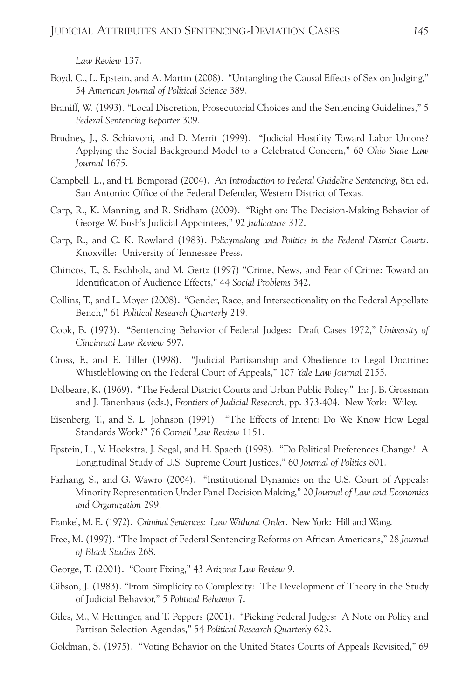*Law Review* 137.

- Boyd, C., L. Epstein, and A. Martin (2008). "Untangling the Causal Effects of Sex on Judging," 54 *American Journal of Political Science* 389.
- Braniff, W. (1993). "Local Discretion, Prosecutorial Choices and the Sentencing Guidelines," 5 *Federal Sentencing Reporter* 309.
- Brudney, J., S. Schiavoni, and D. Merrit (1999). "Judicial Hostility Toward Labor Unions? Applying the Social Background Model to a Celebrated Concern," 60 *Ohio State Law Journal* 1675.
- Campbell, L., and H. Bemporad (2004). *An Introduction to Federal Guideline Sentencing*, 8th ed. San Antonio: Office of the Federal Defender, Western District of Texas.
- Carp, R., K. Manning, and R. Stidham (2009). "Right on: The Decision-Making Behavior of George W. Bush's Judicial Appointees," 92 *Judicature 312*.
- Carp, R., and C. K. Rowland (1983). *Policymaking and Politics in the Federal District Courts*. Knoxville: University of Tennessee Press.
- Chiricos, T., S. Eschholz, and M. Gertz (1997) "Crime, News, and Fear of Crime: Toward an Identification of Audience Effects," 44 *Social Problems* 342.
- Collins, T., and L. Moyer (2008). "Gender, Race, and Intersectionality on the Federal Appellate Bench," 61 *Political Research Quarterly* 219.
- Cook, B. (1973). "Sentencing Behavior of Federal Judges: Draft Cases 1972," *University of Cincinnati Law Review* 597.
- Cross, F., and E. Tiller (1998). "Judicial Partisanship and Obedience to Legal Doctrine: Whistleblowing on the Federal Court of Appeals," 107 *Yale Law Journa*l 2155.
- Dolbeare, K. (1969). "The Federal District Courts and Urban Public Policy." In: J. B. Grossman and J. Tanenhaus (eds.), *Frontiers of Judicial Research*, pp. 373-404. New York: Wiley.
- Eisenberg, T., and S. L. Johnson (1991). "The Effects of Intent: Do We Know How Legal Standards Work?" 76 *Cornell Law Review* 1151.
- Epstein, L., V. Hoekstra, J. Segal, and H. Spaeth (1998). "Do Political Preferences Change? A Longitudinal Study of U.S. Supreme Court Justices," 60 *Journal of Politics* 801.
- Farhang, S., and G. Wawro (2004). "Institutional Dynamics on the U.S. Court of Appeals: Minority Representation Under Panel Decision Making," 20 *Journal of Law and Economics and Organization* 299.
- Frankel, M. E. (1972). *Criminal Sentences: Law Without Order*. New York: Hill and Wang.
- Free, M. (1997). "The Impact of Federal Sentencing Reforms on African Americans," 28 *Journal of Black Studies* 268.
- George, T. (2001). "Court Fixing," 43 *Arizona Law Review* 9.
- Gibson, J. (1983). "From Simplicity to Complexity: The Development of Theory in the Study of Judicial Behavior," 5 *Political Behavior* 7.
- Giles, M., V. Hettinger, and T. Peppers (2001). "Picking Federal Judges: A Note on Policy and Partisan Selection Agendas," 54 *Political Research Quarterly* 623.
- Goldman, S. (1975). "Voting Behavior on the United States Courts of Appeals Revisited," 69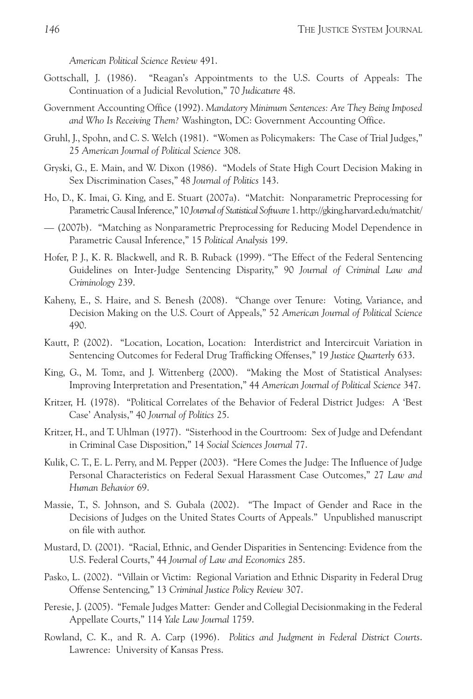*American Political Science Review* 491.

- Gottschall, J. (1986). "Reagan's Appointments to the U.S. Courts of Appeals: The Continuation of a Judicial Revolution," 70 *Judicature* 48.
- Government Accounting Office (1992). *Mandatory Minimum Sentences: Are They Being Imposed and Who Is Receiving Them?* Washington, DC: Government Accounting Office.
- Gruhl, J., Spohn, and C. S. Welch (1981). "Women as Policymakers: The Case of Trial Judges," 25 *American Journal of Political Science* 308.
- Gryski, G., E. Main, and W. Dixon (1986). "Models of State High Court Decision Making in Sex Discrimination Cases," 48 *Journal of Politics* 143.
- Ho, D., K. Imai, G. King, and E. Stuart (2007a). "Matchit: Nonparametric Preprocessing for ParametricCausalInference," 10 *Journal of Statistical Software* 1. http://gking.harvard.edu/matchit/
- (2007b). "Matching as Nonparametric Preprocessing for Reducing Model Dependence in Parametric Causal Inference," 15 *Political Analysis* 199.
- Hofer, P. J., K. R. Blackwell, and R. B. Ruback (1999). "The Effect of the Federal Sentencing Guidelines on Inter-Judge Sentencing Disparity," 90 *Journal of Criminal Law and Criminology* 239.
- Kaheny, E., S. Haire, and S. Benesh (2008). "Change over Tenure: Voting, Variance, and Decision Making on the U.S. Court of Appeals," 52 *American Journal of Political Science* 490.
- Kautt, P. (2002). "Location, Location, Location: Interdistrict and Intercircuit Variation in Sentencing Outcomes for Federal Drug Trafficking Offenses," 19 *Justice Quarterly* 633.
- King, G., M. Tomz, and J. Wittenberg (2000). "Making the Most of Statistical Analyses: Improving Interpretation and Presentation," 44 *American Journal of Political Science* 347.
- Kritzer, H. (1978). "Political Correlates of the Behavior of Federal District Judges: A 'Best Case' Analysis," 40 *Journal of Politics* 25.
- Kritzer, H., and T. Uhlman (1977). "Sisterhood in the Courtroom: Sex of Judge and Defendant in Criminal Case Disposition," 14 *Social Sciences Journal* 77.
- Kulik, C. T., E. L. Perry, and M. Pepper (2003). "Here Comes the Judge: The Influence of Judge Personal Characteristics on Federal Sexual Harassment Case Outcomes," 27 *Law and Human Behavior* 69.
- Massie, T., S. Johnson, and S. Gubala (2002). "The Impact of Gender and Race in the Decisions of Judges on the United States Courts of Appeals." Unpublished manuscript on file with author.
- Mustard, D. (2001). "Racial, Ethnic, and Gender Disparities in Sentencing: Evidence from the U.S. Federal Courts," 44 *Journal of Law and Economics* 285.
- Pasko, L. (2002). "Villain or Victim: Regional Variation and Ethnic Disparity in Federal Drug Offense Sentencing," 13 *Criminal Justice Policy Review* 307.
- Peresie, J. (2005). "Female Judges Matter: Gender and Collegial Decisionmaking in the Federal Appellate Courts," 114 *Yale Law Journal* 1759.
- Rowland, C. K., and R. A. Carp (1996). *Politics and Judgment in Federal District Courts*. Lawrence: University of Kansas Press.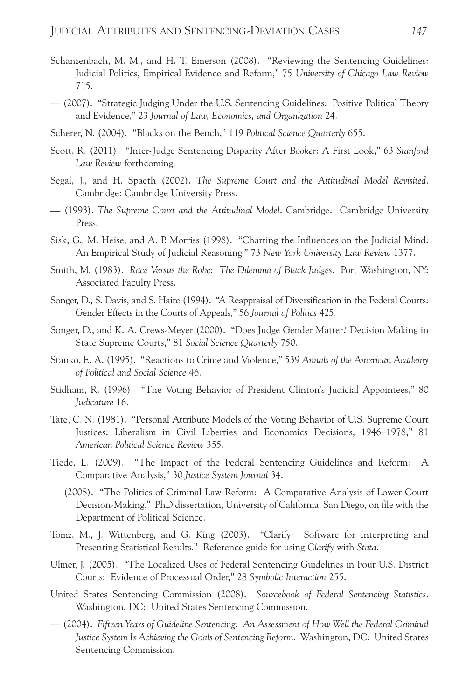- Schanzenbach, M. M., and H. T. Emerson (2008). "Reviewing the Sentencing Guidelines: Judicial Politics, Empirical Evidence and Reform," 75 *University of Chicago Law Review* 715.
- (2007). "Strategic Judging Under the U.S. Sentencing Guidelines: Positive Political Theory and Evidence," 23 *Journal of Law, Economics, and Organization* 24.
- Scherer, N. (2004). "Blacks on the Bench," 119 *Political Science Quarterly* 655.
- Scott, R. (2011). "Inter-Judge Sentencing Disparity After *Booker*: A First Look," 63 *Stanford Law Review* forthcoming.
- Segal, J., and H. Spaeth (2002). *The Supreme Court and the Attitudinal Model Revisited*. Cambridge: Cambridge University Press.
- (1993). *The Supreme Court and the Attitudinal Model*. Cambridge: Cambridge University Press.
- Sisk, G., M. Heise, and A. P. Morriss (1998). "Charting the Influences on the Judicial Mind: An Empirical Study of Judicial Reasoning," 73 *New York University Law Review* 1377.
- Smith, M. (1983). *Race Versus the Robe: The Dilemma of Black Judges*. Port Washington, NY: Associated Faculty Press.
- Songer, D., S. Davis, and S. Haire (1994). "A Reappraisal of Diversification in the Federal Courts: Gender Effects in the Courts of Appeals," 56 *Journal of Politics* 425.
- Songer, D., and K. A. Crews-Meyer (2000). "Does Judge Gender Matter? Decision Making in State Supreme Courts," 81 *Social Science Quarterly* 750.
- Stanko, E. A. (1995). "Reactions to Crime and Violence," 539 *Annals of the American Academy of Political and Social Science* 46.
- Stidham, R. (1996). "The Voting Behavior of President Clinton's Judicial Appointees," 80 *Judicature* 16.
- Tate, C. N. (1981). "Personal Attribute Models of the Voting Behavior of U.S. Supreme Court Justices: Liberalism in Civil Liberties and Economics Decisions, 1946–1978," 81 *American Political Science Review* 355.
- Tiede, L. (2009). "The Impact of the Federal Sentencing Guidelines and Reform: A Comparative Analysis," 30 *Justice System Journal* 34.
- (2008). "The Politics of Criminal Law Reform: A Comparative Analysis of Lower Court Decision-Making." PhD dissertation, University of California, San Diego, on file with the Department of Political Science.
- Tomz, M., J. Wittenberg, and G. King (2003). "Clarify: Software for Interpreting and Presenting Statistical Results." Reference guide for using *Clarify* with *Stata*.
- Ulmer, J. (2005). "The Localized Uses of Federal Sentencing Guidelines in Four U.S. District Courts: Evidence of Processual Order," 28 *Symbolic Interaction* 255.
- United States Sentencing Commission (2008). *Sourcebook of Federal Sentencing Statistics*. Washington, DC: United States Sentencing Commission.
- (2004). *Fifteen Years of Guideline Sentencing: An Assessment of How Well the Federal Criminal Justice System Is Achieving the Goals of Sentencing Reform*. Washington, DC: United States Sentencing Commission.